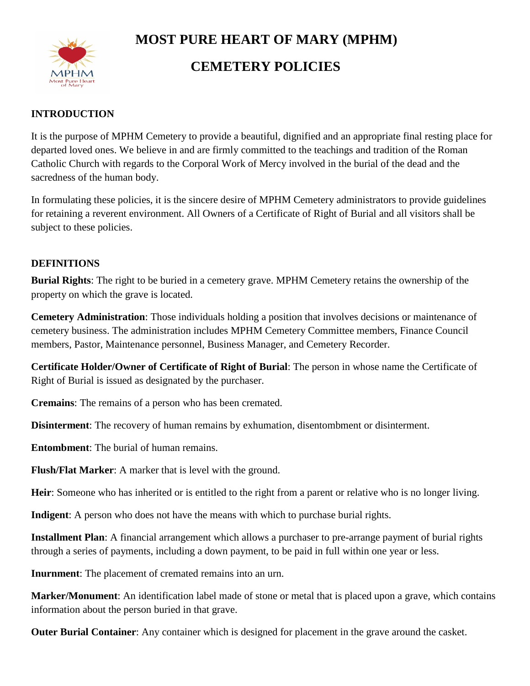

# **MOST PURE HEART OF MARY (MPHM)**

## **CEMETERY POLICIES**

#### **INTRODUCTION**

It is the purpose of MPHM Cemetery to provide a beautiful, dignified and an appropriate final resting place for departed loved ones. We believe in and are firmly committed to the teachings and tradition of the Roman Catholic Church with regards to the Corporal Work of Mercy involved in the burial of the dead and the sacredness of the human body.

In formulating these policies, it is the sincere desire of MPHM Cemetery administrators to provide guidelines for retaining a reverent environment. All Owners of a Certificate of Right of Burial and all visitors shall be subject to these policies.

#### **DEFINITIONS**

**Burial Rights**: The right to be buried in a cemetery grave. MPHM Cemetery retains the ownership of the property on which the grave is located.

**Cemetery Administration**: Those individuals holding a position that involves decisions or maintenance of cemetery business. The administration includes MPHM Cemetery Committee members, Finance Council members, Pastor, Maintenance personnel, Business Manager, and Cemetery Recorder.

**Certificate Holder/Owner of Certificate of Right of Burial**: The person in whose name the Certificate of Right of Burial is issued as designated by the purchaser.

**Cremains**: The remains of a person who has been cremated.

**Disinterment**: The recovery of human remains by exhumation, disentombment or disinterment.

**Entombment**: The burial of human remains.

**Flush/Flat Marker**: A marker that is level with the ground.

**Heir**: Someone who has inherited or is entitled to the right from a parent or relative who is no longer living.

**Indigent**: A person who does not have the means with which to purchase burial rights.

**Installment Plan**: A financial arrangement which allows a purchaser to pre-arrange payment of burial rights through a series of payments, including a down payment, to be paid in full within one year or less.

**Inurnment**: The placement of cremated remains into an urn.

**Marker/Monument**: An identification label made of stone or metal that is placed upon a grave, which contains information about the person buried in that grave.

**Outer Burial Container**: Any container which is designed for placement in the grave around the casket.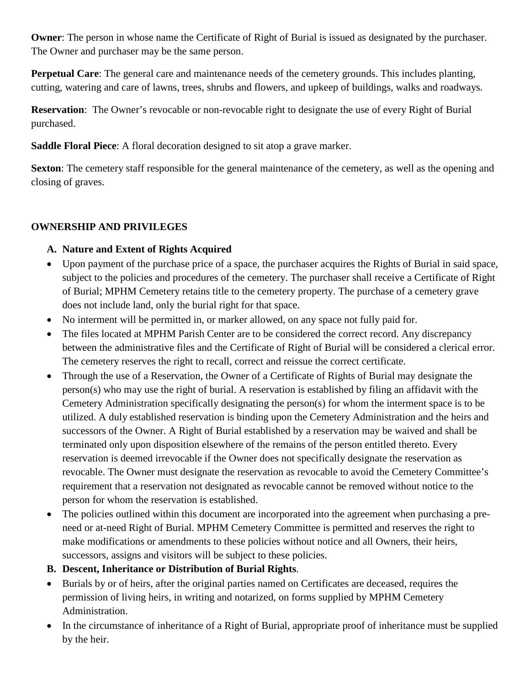**Owner:** The person in whose name the Certificate of Right of Burial is issued as designated by the purchaser. The Owner and purchaser may be the same person.

**Perpetual Care**: The general care and maintenance needs of the cemetery grounds. This includes planting, cutting, watering and care of lawns, trees, shrubs and flowers, and upkeep of buildings, walks and roadways.

**Reservation**: The Owner's revocable or non-revocable right to designate the use of every Right of Burial purchased.

**Saddle Floral Piece**: A floral decoration designed to sit atop a grave marker.

**Sexton:** The cemetery staff responsible for the general maintenance of the cemetery, as well as the opening and closing of graves.

## **OWNERSHIP AND PRIVILEGES**

## **A. Nature and Extent of Rights Acquired**

- Upon payment of the purchase price of a space, the purchaser acquires the Rights of Burial in said space, subject to the policies and procedures of the cemetery. The purchaser shall receive a Certificate of Right of Burial; MPHM Cemetery retains title to the cemetery property. The purchase of a cemetery grave does not include land, only the burial right for that space.
- No interment will be permitted in, or marker allowed, on any space not fully paid for.
- The files located at MPHM Parish Center are to be considered the correct record. Any discrepancy between the administrative files and the Certificate of Right of Burial will be considered a clerical error. The cemetery reserves the right to recall, correct and reissue the correct certificate.
- Through the use of a Reservation, the Owner of a Certificate of Rights of Burial may designate the person(s) who may use the right of burial. A reservation is established by filing an affidavit with the Cemetery Administration specifically designating the person(s) for whom the interment space is to be utilized. A duly established reservation is binding upon the Cemetery Administration and the heirs and successors of the Owner. A Right of Burial established by a reservation may be waived and shall be terminated only upon disposition elsewhere of the remains of the person entitled thereto. Every reservation is deemed irrevocable if the Owner does not specifically designate the reservation as revocable. The Owner must designate the reservation as revocable to avoid the Cemetery Committee's requirement that a reservation not designated as revocable cannot be removed without notice to the person for whom the reservation is established.
- The policies outlined within this document are incorporated into the agreement when purchasing a preneed or at-need Right of Burial. MPHM Cemetery Committee is permitted and reserves the right to make modifications or amendments to these policies without notice and all Owners, their heirs, successors, assigns and visitors will be subject to these policies.
- **B. Descent, Inheritance or Distribution of Burial Rights**.
- Burials by or of heirs, after the original parties named on Certificates are deceased, requires the permission of living heirs, in writing and notarized, on forms supplied by MPHM Cemetery Administration.
- In the circumstance of inheritance of a Right of Burial, appropriate proof of inheritance must be supplied by the heir.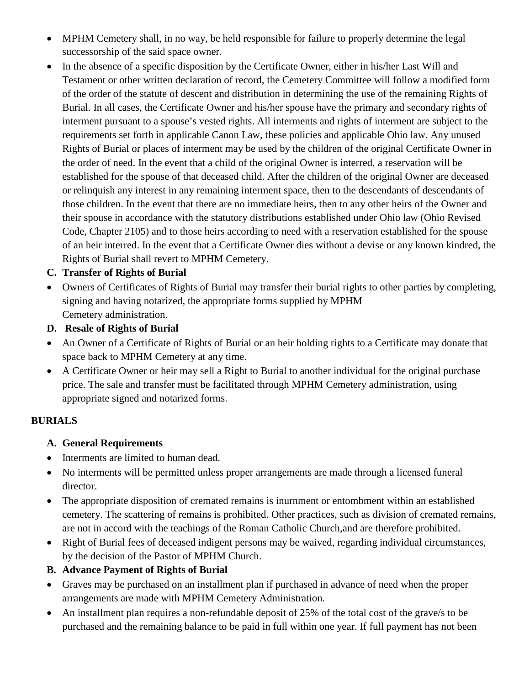- MPHM Cemetery shall, in no way, be held responsible for failure to properly determine the legal successorship of the said space owner.
- In the absence of a specific disposition by the Certificate Owner, either in his/her Last Will and Testament or other written declaration of record, the Cemetery Committee will follow a modified form of the order of the statute of descent and distribution in determining the use of the remaining Rights of Burial. In all cases, the Certificate Owner and his/her spouse have the primary and secondary rights of interment pursuant to a spouse's vested rights. All interments and rights of interment are subject to the requirements set forth in applicable Canon Law, these policies and applicable Ohio law. Any unused Rights of Burial or places of interment may be used by the children of the original Certificate Owner in the order of need. In the event that a child of the original Owner is interred, a reservation will be established for the spouse of that deceased child. After the children of the original Owner are deceased or relinquish any interest in any remaining interment space, then to the descendants of descendants of those children. In the event that there are no immediate heirs, then to any other heirs of the Owner and their spouse in accordance with the statutory distributions established under Ohio law (Ohio Revised Code, Chapter 2105) and to those heirs according to need with a reservation established for the spouse of an heir interred. In the event that a Certificate Owner dies without a devise or any known kindred, the Rights of Burial shall revert to MPHM Cemetery.

#### **C. Transfer of Rights of Burial**

- Owners of Certificates of Rights of Burial may transfer their burial rights to other parties by completing, signing and having notarized, the appropriate forms supplied by MPHM Cemetery administration.
- **D. Resale of Rights of Burial**
- An Owner of a Certificate of Rights of Burial or an heir holding rights to a Certificate may donate that space back to MPHM Cemetery at any time.
- A Certificate Owner or heir may sell a Right to Burial to another individual for the original purchase price. The sale and transfer must be facilitated through MPHM Cemetery administration, using appropriate signed and notarized forms.

## **BURIALS**

- **A. General Requirements**
- Interments are limited to human dead.
- No interments will be permitted unless proper arrangements are made through a licensed funeral director.
- The appropriate disposition of cremated remains is inurnment or entombment within an established cemetery. The scattering of remains is prohibited. Other practices, such as division of cremated remains, are not in accord with the teachings of the Roman Catholic Church,and are therefore prohibited.
- Right of Burial fees of deceased indigent persons may be waived, regarding individual circumstances, by the decision of the Pastor of MPHM Church.
- **B. Advance Payment of Rights of Burial**
- Graves may be purchased on an installment plan if purchased in advance of need when the proper arrangements are made with MPHM Cemetery Administration.
- An installment plan requires a non-refundable deposit of 25% of the total cost of the grave/s to be purchased and the remaining balance to be paid in full within one year. If full payment has not been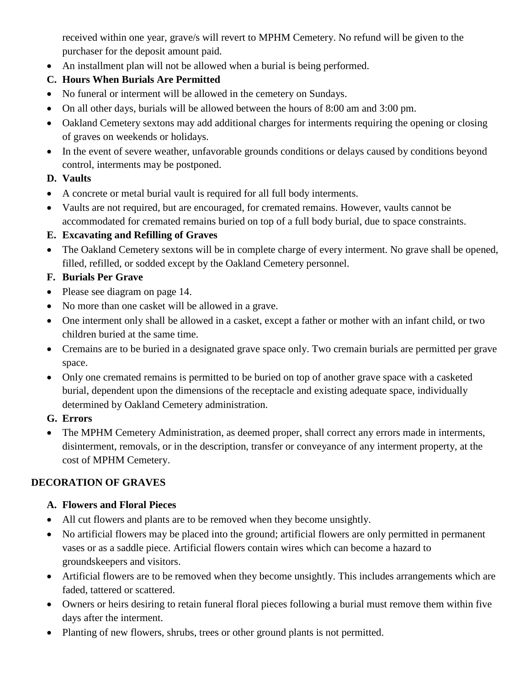received within one year, grave/s will revert to MPHM Cemetery. No refund will be given to the purchaser for the deposit amount paid.

• An installment plan will not be allowed when a burial is being performed.

## **C. Hours When Burials Are Permitted**

- No funeral or interment will be allowed in the cemetery on Sundays.
- On all other days, burials will be allowed between the hours of 8:00 am and 3:00 pm.
- Oakland Cemetery sextons may add additional charges for interments requiring the opening or closing of graves on weekends or holidays.
- In the event of severe weather, unfavorable grounds conditions or delays caused by conditions beyond control, interments may be postponed.

## **D. Vaults**

- A concrete or metal burial vault is required for all full body interments.
- Vaults are not required, but are encouraged, for cremated remains. However, vaults cannot be accommodated for cremated remains buried on top of a full body burial, due to space constraints.

#### **E. Excavating and Refilling of Graves**

• The Oakland Cemetery sextons will be in complete charge of every interment. No grave shall be opened, filled, refilled, or sodded except by the Oakland Cemetery personnel.

## **F. Burials Per Grave**

- Please see diagram on page 14.
- No more than one casket will be allowed in a grave.
- One interment only shall be allowed in a casket, except a father or mother with an infant child, or two children buried at the same time.
- Cremains are to be buried in a designated grave space only. Two cremain burials are permitted per grave space.
- Only one cremated remains is permitted to be buried on top of another grave space with a casketed burial, dependent upon the dimensions of the receptacle and existing adequate space, individually determined by Oakland Cemetery administration.

## **G. Errors**

• The MPHM Cemetery Administration, as deemed proper, shall correct any errors made in interments, disinterment, removals, or in the description, transfer or conveyance of any interment property, at the cost of MPHM Cemetery.

## **DECORATION OF GRAVES**

## **A. Flowers and Floral Pieces**

- All cut flowers and plants are to be removed when they become unsightly.
- No artificial flowers may be placed into the ground; artificial flowers are only permitted in permanent vases or as a saddle piece. Artificial flowers contain wires which can become a hazard to groundskeepers and visitors.
- Artificial flowers are to be removed when they become unsightly. This includes arrangements which are faded, tattered or scattered.
- Owners or heirs desiring to retain funeral floral pieces following a burial must remove them within five days after the interment.
- Planting of new flowers, shrubs, trees or other ground plants is not permitted.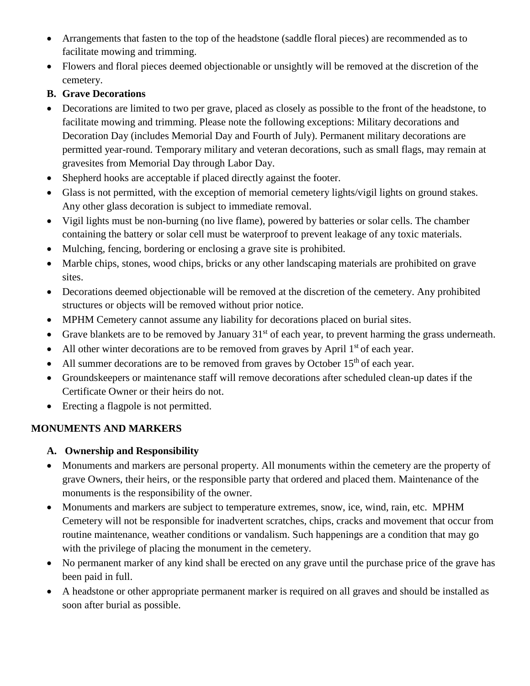- Arrangements that fasten to the top of the headstone (saddle floral pieces) are recommended as to facilitate mowing and trimming.
- Flowers and floral pieces deemed objectionable or unsightly will be removed at the discretion of the cemetery.

## **B. Grave Decorations**

- Decorations are limited to two per grave, placed as closely as possible to the front of the headstone, to facilitate mowing and trimming. Please note the following exceptions: Military decorations and Decoration Day (includes Memorial Day and Fourth of July). Permanent military decorations are permitted year-round. Temporary military and veteran decorations, such as small flags, may remain at gravesites from Memorial Day through Labor Day.
- Shepherd hooks are acceptable if placed directly against the footer.
- Glass is not permitted, with the exception of memorial cemetery lights/vigil lights on ground stakes. Any other glass decoration is subject to immediate removal.
- Vigil lights must be non-burning (no live flame), powered by batteries or solar cells. The chamber containing the battery or solar cell must be waterproof to prevent leakage of any toxic materials.
- Mulching, fencing, bordering or enclosing a grave site is prohibited.
- Marble chips, stones, wood chips, bricks or any other landscaping materials are prohibited on grave sites.
- Decorations deemed objectionable will be removed at the discretion of the cemetery. Any prohibited structures or objects will be removed without prior notice.
- MPHM Cemetery cannot assume any liability for decorations placed on burial sites.
- Grave blankets are to be removed by January  $31<sup>st</sup>$  of each year, to prevent harming the grass underneath.
- All other winter decorations are to be removed from graves by April  $1<sup>st</sup>$  of each year.
- All summer decorations are to be removed from graves by October  $15<sup>th</sup>$  of each year.
- Groundskeepers or maintenance staff will remove decorations after scheduled clean-up dates if the Certificate Owner or their heirs do not.
- Erecting a flagpole is not permitted.

## **MONUMENTS AND MARKERS**

## **A. Ownership and Responsibility**

- Monuments and markers are personal property. All monuments within the cemetery are the property of grave Owners, their heirs, or the responsible party that ordered and placed them. Maintenance of the monuments is the responsibility of the owner.
- Monuments and markers are subject to temperature extremes, snow, ice, wind, rain, etc. MPHM Cemetery will not be responsible for inadvertent scratches, chips, cracks and movement that occur from routine maintenance, weather conditions or vandalism. Such happenings are a condition that may go with the privilege of placing the monument in the cemetery.
- No permanent marker of any kind shall be erected on any grave until the purchase price of the grave has been paid in full.
- A headstone or other appropriate permanent marker is required on all graves and should be installed as soon after burial as possible.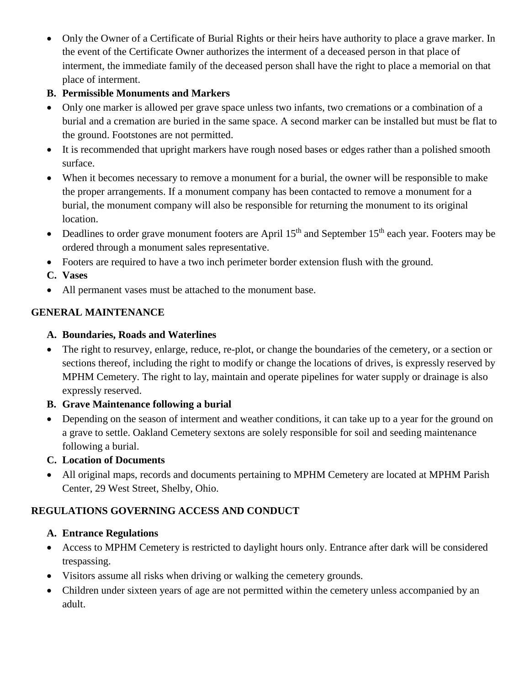• Only the Owner of a Certificate of Burial Rights or their heirs have authority to place a grave marker. In the event of the Certificate Owner authorizes the interment of a deceased person in that place of interment, the immediate family of the deceased person shall have the right to place a memorial on that place of interment.

## **B. Permissible Monuments and Markers**

- Only one marker is allowed per grave space unless two infants, two cremations or a combination of a burial and a cremation are buried in the same space. A second marker can be installed but must be flat to the ground. Footstones are not permitted.
- It is recommended that upright markers have rough nosed bases or edges rather than a polished smooth surface.
- When it becomes necessary to remove a monument for a burial, the owner will be responsible to make the proper arrangements. If a monument company has been contacted to remove a monument for a burial, the monument company will also be responsible for returning the monument to its original location.
- Deadlines to order grave monument footers are April  $15<sup>th</sup>$  and September  $15<sup>th</sup>$  each year. Footers may be ordered through a monument sales representative.
- Footers are required to have a two inch perimeter border extension flush with the ground.
- **C. Vases**
- All permanent vases must be attached to the monument base.

## **GENERAL MAINTENANCE**

## **A. Boundaries, Roads and Waterlines**

• The right to resurvey, enlarge, reduce, re-plot, or change the boundaries of the cemetery, or a section or sections thereof, including the right to modify or change the locations of drives, is expressly reserved by MPHM Cemetery. The right to lay, maintain and operate pipelines for water supply or drainage is also expressly reserved.

## **B. Grave Maintenance following a burial**

• Depending on the season of interment and weather conditions, it can take up to a year for the ground on a grave to settle. Oakland Cemetery sextons are solely responsible for soil and seeding maintenance following a burial.

## **C. Location of Documents**

• All original maps, records and documents pertaining to MPHM Cemetery are located at MPHM Parish Center, 29 West Street, Shelby, Ohio.

## **REGULATIONS GOVERNING ACCESS AND CONDUCT**

## **A. Entrance Regulations**

- Access to MPHM Cemetery is restricted to daylight hours only. Entrance after dark will be considered trespassing.
- Visitors assume all risks when driving or walking the cemetery grounds.
- Children under sixteen years of age are not permitted within the cemetery unless accompanied by an adult.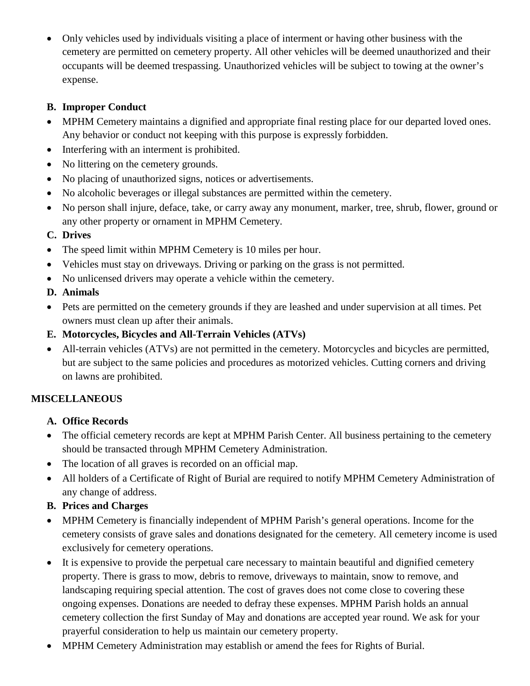• Only vehicles used by individuals visiting a place of interment or having other business with the cemetery are permitted on cemetery property. All other vehicles will be deemed unauthorized and their occupants will be deemed trespassing. Unauthorized vehicles will be subject to towing at the owner's expense.

## **B. Improper Conduct**

- MPHM Cemetery maintains a dignified and appropriate final resting place for our departed loved ones. Any behavior or conduct not keeping with this purpose is expressly forbidden.
- Interfering with an interment is prohibited.
- No littering on the cemetery grounds.
- No placing of unauthorized signs, notices or advertisements.
- No alcoholic beverages or illegal substances are permitted within the cemetery.
- No person shall injure, deface, take, or carry away any monument, marker, tree, shrub, flower, ground or any other property or ornament in MPHM Cemetery.

## **C. Drives**

- The speed limit within MPHM Cemetery is 10 miles per hour.
- Vehicles must stay on driveways. Driving or parking on the grass is not permitted.
- No unlicensed drivers may operate a vehicle within the cemetery.
- **D. Animals**
- Pets are permitted on the cemetery grounds if they are leashed and under supervision at all times. Pet owners must clean up after their animals.
- **E. Motorcycles, Bicycles and All-Terrain Vehicles (ATVs)**
- All-terrain vehicles (ATVs) are not permitted in the cemetery. Motorcycles and bicycles are permitted, but are subject to the same policies and procedures as motorized vehicles. Cutting corners and driving on lawns are prohibited.

## **MISCELLANEOUS**

## **A. Office Records**

- The official cemetery records are kept at MPHM Parish Center. All business pertaining to the cemetery should be transacted through MPHM Cemetery Administration.
- The location of all graves is recorded on an official map.
- All holders of a Certificate of Right of Burial are required to notify MPHM Cemetery Administration of any change of address.
- **B. Prices and Charges**
- MPHM Cemetery is financially independent of MPHM Parish's general operations. Income for the cemetery consists of grave sales and donations designated for the cemetery. All cemetery income is used exclusively for cemetery operations.
- It is expensive to provide the perpetual care necessary to maintain beautiful and dignified cemetery property. There is grass to mow, debris to remove, driveways to maintain, snow to remove, and landscaping requiring special attention. The cost of graves does not come close to covering these ongoing expenses. Donations are needed to defray these expenses. MPHM Parish holds an annual cemetery collection the first Sunday of May and donations are accepted year round. We ask for your prayerful consideration to help us maintain our cemetery property.
- MPHM Cemetery Administration may establish or amend the fees for Rights of Burial.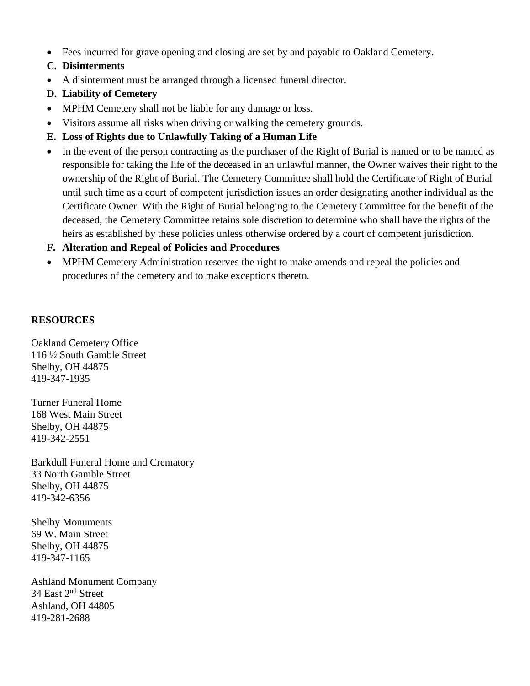- Fees incurred for grave opening and closing are set by and payable to Oakland Cemetery.
- **C. Disinterments**
- A disinterment must be arranged through a licensed funeral director.
- **D. Liability of Cemetery**
- MPHM Cemetery shall not be liable for any damage or loss.
- Visitors assume all risks when driving or walking the cemetery grounds.
- **E. Loss of Rights due to Unlawfully Taking of a Human Life**
- In the event of the person contracting as the purchaser of the Right of Burial is named or to be named as responsible for taking the life of the deceased in an unlawful manner, the Owner waives their right to the ownership of the Right of Burial. The Cemetery Committee shall hold the Certificate of Right of Burial until such time as a court of competent jurisdiction issues an order designating another individual as the Certificate Owner. With the Right of Burial belonging to the Cemetery Committee for the benefit of the deceased, the Cemetery Committee retains sole discretion to determine who shall have the rights of the heirs as established by these policies unless otherwise ordered by a court of competent jurisdiction.
- **F. Alteration and Repeal of Policies and Procedures**
- MPHM Cemetery Administration reserves the right to make amends and repeal the policies and procedures of the cemetery and to make exceptions thereto.

#### **RESOURCES**

Oakland Cemetery Office 116 ½ South Gamble Street Shelby, OH 44875 419-347-1935

Turner Funeral Home 168 West Main Street Shelby, OH 44875 419-342-2551

Barkdull Funeral Home and Crematory 33 North Gamble Street Shelby, OH 44875 419-342-6356

Shelby Monuments 69 W. Main Street Shelby, OH 44875 419-347-1165

Ashland Monument Company 34 East 2nd Street Ashland, OH 44805 419-281-2688